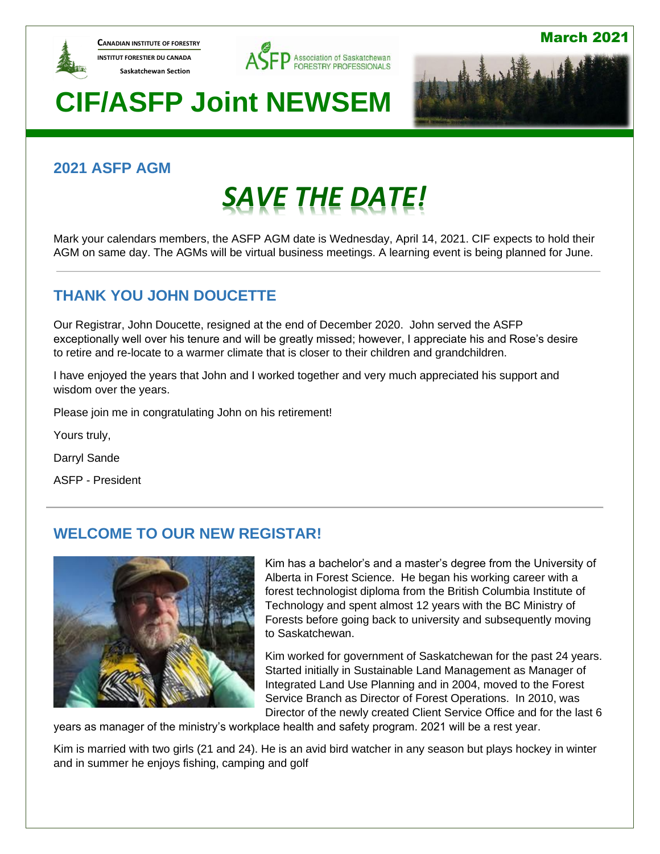

**CANADIAN INSTITUTE OF FORESTRY INSTITUT FORESTIER DU CANADA Saskatchewan Section** 





March 2021

# **CIF/ASFP Joint NEWSEM**

## **2021 ASFP AGM**

# *SAVE THE DATE!*

Mark your calendars members, the ASFP AGM date is Wednesday, April 14, 2021. CIF expects to hold their AGM on same day. The AGMs will be virtual business meetings. A learning event is being planned for June.

## **THANK YOU JOHN DOUCETTE**

Our Registrar, John Doucette, resigned at the end of December 2020. John served the ASFP exceptionally well over his tenure and will be greatly missed; however, I appreciate his and Rose's desire to retire and re-locate to a warmer climate that is closer to their children and grandchildren.

I have enjoyed the years that John and I worked together and very much appreciated his support and wisdom over the years.

Please join me in congratulating John on his retirement!

Yours truly,

Darryl Sande

ASFP - President

## **WELCOME TO OUR NEW REGISTAR!**



Kim has a bachelor's and a master's degree from the University of Alberta in Forest Science. He began his working career with a forest technologist diploma from the British Columbia Institute of Technology and spent almost 12 years with the BC Ministry of Forests before going back to university and subsequently moving to Saskatchewan.

Kim worked for government of Saskatchewan for the past 24 years. Started initially in Sustainable Land Management as Manager of Integrated Land Use Planning and in 2004, moved to the Forest Service Branch as Director of Forest Operations. In 2010, was Director of the newly created Client Service Office and for the last 6

years as manager of the ministry's workplace health and safety program. 2021 will be a rest year.

Kim is married with two girls (21 and 24). He is an avid bird watcher in any season but plays hockey in winter and in summer he enjoys fishing, camping and golf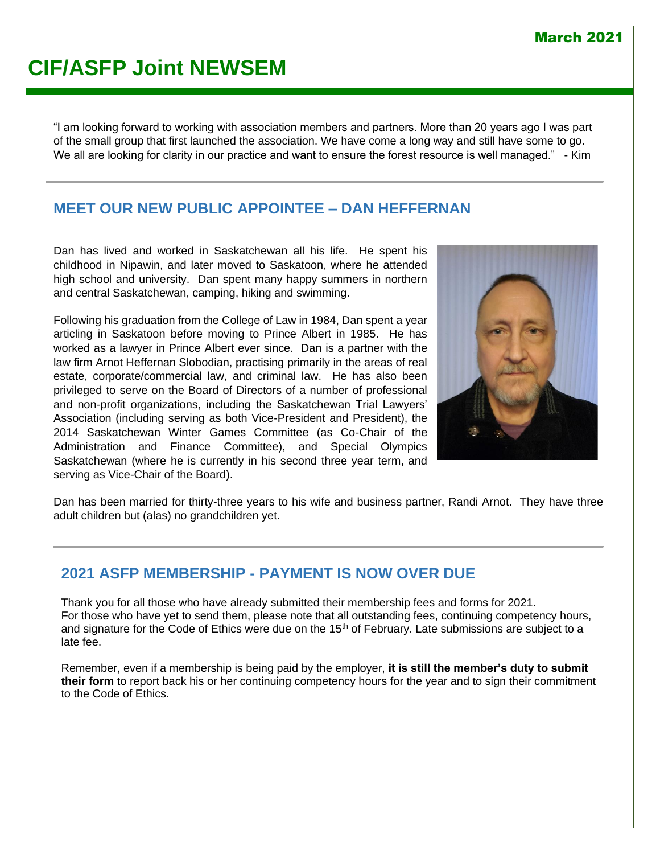### March 2021

# **CIF/ASFP Joint NEWSEM**

"I am looking forward to working with association members and partners. More than 20 years ago I was part of the small group that first launched the association. We have come a long way and still have some to go. We all are looking for clarity in our practice and want to ensure the forest resource is well managed." - Kim

### **MEET OUR NEW PUBLIC APPOINTEE – DAN HEFFERNAN**

Dan has lived and worked in Saskatchewan all his life. He spent his childhood in Nipawin, and later moved to Saskatoon, where he attended high school and university. Dan spent many happy summers in northern and central Saskatchewan, camping, hiking and swimming.

Following his graduation from the College of Law in 1984, Dan spent a year articling in Saskatoon before moving to Prince Albert in 1985. He has worked as a lawyer in Prince Albert ever since. Dan is a partner with the law firm Arnot Heffernan Slobodian, practising primarily in the areas of real estate, corporate/commercial law, and criminal law. He has also been privileged to serve on the Board of Directors of a number of professional and non-profit organizations, including the Saskatchewan Trial Lawyers' Association (including serving as both Vice-President and President), the 2014 Saskatchewan Winter Games Committee (as Co-Chair of the Administration and Finance Committee), and Special Olympics Saskatchewan (where he is currently in his second three year term, and serving as Vice-Chair of the Board).



Dan has been married for thirty-three years to his wife and business partner, Randi Arnot. They have three adult children but (alas) no grandchildren yet.

### **2021 ASFP MEMBERSHIP - PAYMENT IS NOW OVER DUE**

Thank you for all those who have already submitted their membership fees and forms for 2021. For those who have yet to send them, please note that all outstanding fees, continuing competency hours, and signature for the Code of Ethics were due on the  $15<sup>th</sup>$  of February. Late submissions are subject to a late fee.

Remember, even if a membership is being paid by the employer, **it is still the member's duty to submit their form** to report back his or her continuing competency hours for the year and to sign their commitment to the Code of Ethics.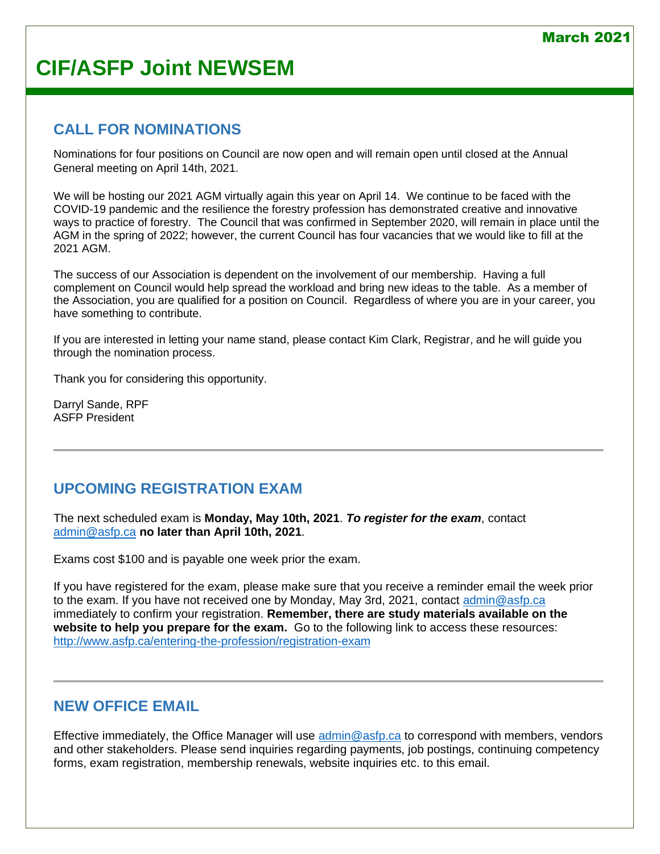### **CALL FOR NOMINATIONS**

Nominations for four positions on Council are now open and will remain open until closed at the Annual General meeting on April 14th, 2021.

We will be hosting our 2021 AGM virtually again this year on April 14. We continue to be faced with the COVID-19 pandemic and the resilience the forestry profession has demonstrated creative and innovative ways to practice of forestry. The Council that was confirmed in September 2020, will remain in place until the AGM in the spring of 2022; however, the current Council has four vacancies that we would like to fill at the 2021 AGM.

The success of our Association is dependent on the involvement of our membership. Having a full complement on Council would help spread the workload and bring new ideas to the table. As a member of the Association, you are qualified for a position on Council. Regardless of where you are in your career, you have something to contribute.

If you are interested in letting your name stand, please contact Kim Clark, Registrar, and he will guide you through the nomination process.

Thank you for considering this opportunity.

Darryl Sande, RPF ASFP President

## **UPCOMING REGISTRATION EXAM**

The next scheduled exam is **Monday, May 10th, 2021**. *To register for the exam*, contact [admin@asfp.ca](mailto:admin@asfp.ca) **no later than April 10th, 2021**.

Exams cost \$100 and is payable one week prior the exam.

If you have registered for the exam, please make sure that you receive a reminder email the week prior to the exam. If you have not received one by Monday, May 3rd, 2021, contact [admin@asfp.ca](mailto:admin@asfp.ca) immediately to confirm your registration. **Remember, there are study materials available on the website to help you prepare for the exam.** Go to the following link to access these resources: <http://www.asfp.ca/entering-the-profession/registration-exam>

### **NEW OFFICE EMAIL**

Effective immediately, the Office Manager will use [admin@asfp.ca](mailto:admin@asfp.ca) to correspond with members, vendors and other stakeholders. Please send inquiries regarding payments, job postings, continuing competency forms, exam registration, membership renewals, website inquiries etc. to this email.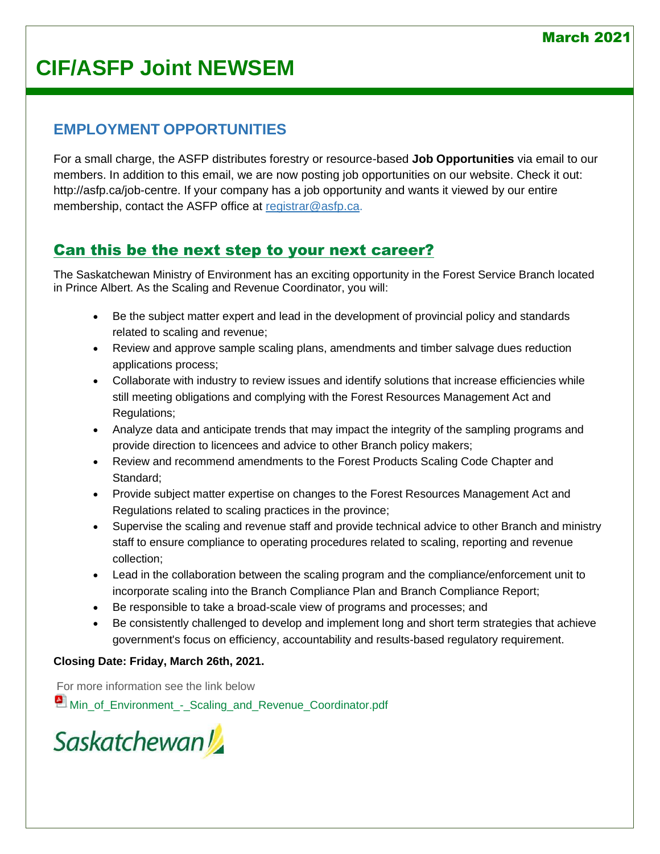## **EMPLOYMENT OPPORTUNITIES**

For a small charge, the ASFP distributes forestry or resource-based **Job Opportunities** via email to our members. In addition to this email, we are now posting job opportunities on our website. Check it out: [http://asfp.ca/job-centre.](http://asfp.ca/job-centre) If your company has a job opportunity and wants it viewed by our entire membership, contact the ASFP office at [registrar@asfp.ca.](mailto:registrar@asfp.ca)

## [Can this be the next step to your next career?](http://www.asfp.ca/job-centre/71-job-1)

The Saskatchewan Ministry of Environment has an exciting opportunity in the Forest Service Branch located in Prince Albert. As the Scaling and Revenue Coordinator, you will:

- Be the subject matter expert and lead in the development of provincial policy and standards related to scaling and revenue;
- Review and approve sample scaling plans, amendments and timber salvage dues reduction applications process;
- Collaborate with industry to review issues and identify solutions that increase efficiencies while still meeting obligations and complying with the Forest Resources Management Act and Regulations;
- Analyze data and anticipate trends that may impact the integrity of the sampling programs and provide direction to licencees and advice to other Branch policy makers;
- Review and recommend amendments to the Forest Products Scaling Code Chapter and Standard;
- Provide subject matter expertise on changes to the Forest Resources Management Act and Regulations related to scaling practices in the province;
- Supervise the scaling and revenue staff and provide technical advice to other Branch and ministry staff to ensure compliance to operating procedures related to scaling, reporting and revenue collection;
- Lead in the collaboration between the scaling program and the compliance/enforcement unit to incorporate scaling into the Branch Compliance Plan and Branch Compliance Report;
- Be responsible to take a broad-scale view of programs and processes; and
- Be consistently challenged to develop and implement long and short term strategies that achieve government's focus on efficiency, accountability and results-based regulatory requirement.

### **Closing Date: Friday, March 26th, 2021.**

For more information see the link below **[Min\\_of\\_Environment\\_-\\_Scaling\\_and\\_Revenue\\_Coordinator.pdf](http://www.asfp.ca/images/Job_Postings/J21-004_-_Min_of_Environment_-_Scaling_and_Revenue_Coordinator.pdf)** 

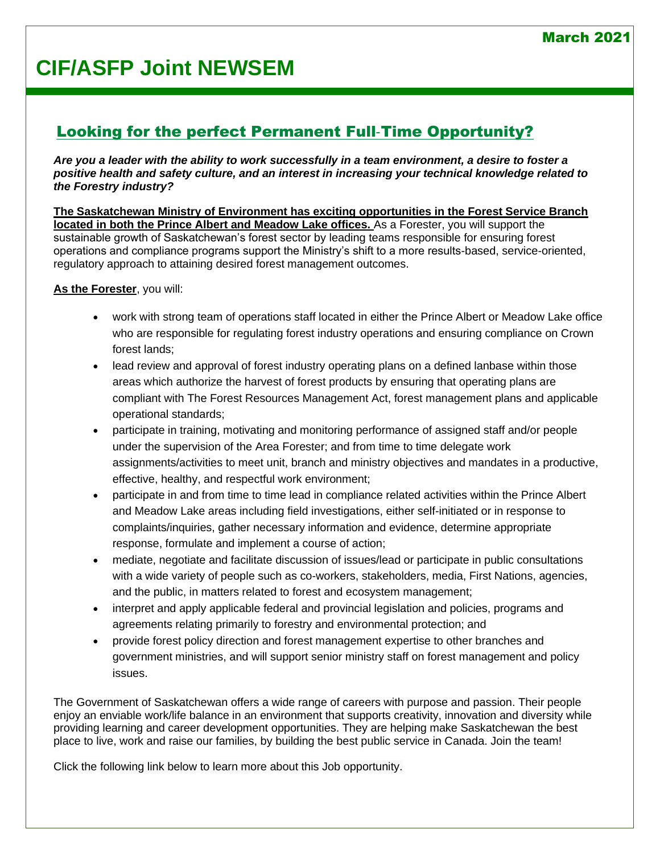## [Looking for the perfect Permanent Full](http://www.asfp.ca/job-centre/76-job-2)‐Time Opportunity?

*Are you a leader with the ability to work successfully in a team environment, a desire to foster a positive health and safety culture, and an interest in increasing your technical knowledge related to the Forestry industry?*

**The Saskatchewan Ministry of Environment has exciting opportunities in the Forest Service Branch located in both the Prince Albert and Meadow Lake offices.** As a Forester, you will support the sustainable growth of Saskatchewan's forest sector by leading teams responsible for ensuring forest operations and compliance programs support the Ministry's shift to a more results-based, service-oriented, regulatory approach to attaining desired forest management outcomes.

**As the Forester**, you will:

- work with strong team of operations staff located in either the Prince Albert or Meadow Lake office who are responsible for regulating forest industry operations and ensuring compliance on Crown forest lands;
- lead review and approval of forest industry operating plans on a defined lanbase within those areas which authorize the harvest of forest products by ensuring that operating plans are compliant with The Forest Resources Management Act, forest management plans and applicable operational standards;
- participate in training, motivating and monitoring performance of assigned staff and/or people under the supervision of the Area Forester; and from time to time delegate work assignments/activities to meet unit, branch and ministry objectives and mandates in a productive, effective, healthy, and respectful work environment;
- participate in and from time to time lead in compliance related activities within the Prince Albert and Meadow Lake areas including field investigations, either self-initiated or in response to complaints/inquiries, gather necessary information and evidence, determine appropriate response, formulate and implement a course of action;
- mediate, negotiate and facilitate discussion of issues/lead or participate in public consultations with a wide variety of people such as co-workers, stakeholders, media, First Nations, agencies, and the public, in matters related to forest and ecosystem management;
- interpret and apply applicable federal and provincial legislation and policies, programs and agreements relating primarily to forestry and environmental protection; and
- provide forest policy direction and forest management expertise to other branches and government ministries, and will support senior ministry staff on forest management and policy issues.

The Government of Saskatchewan offers a wide range of careers with purpose and passion. Their people enjoy an enviable work/life balance in an environment that supports creativity, innovation and diversity while providing learning and career development opportunities. They are helping make Saskatchewan the best place to live, work and raise our families, by building the best public service in Canada. Join the team!

Click the following link below to learn more about this Job opportunity.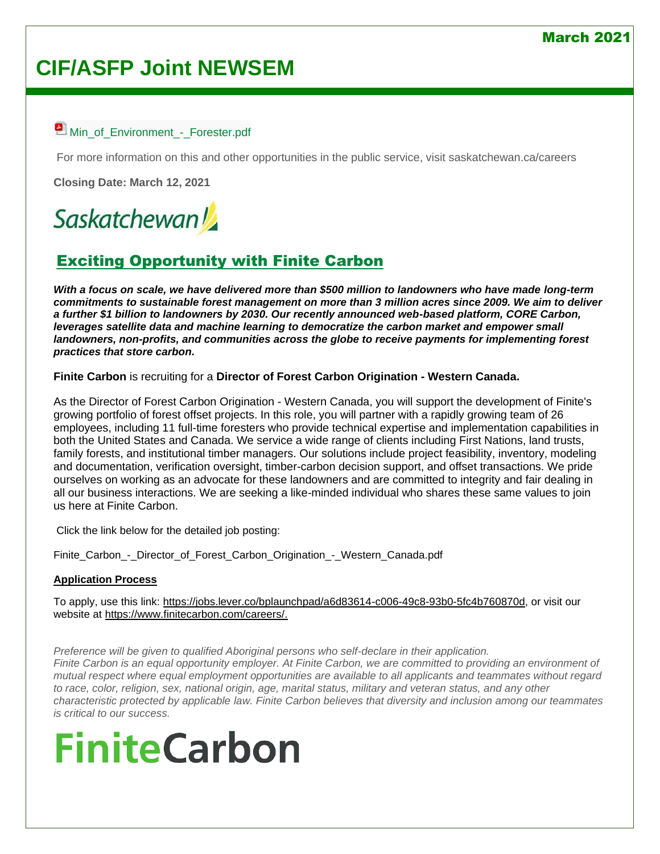### March 202<sup>.</sup>

# **CIF/ASFP Joint NEWSEM**

### [Min\\_of\\_Environment\\_-\\_Forester.pdf](http://www.asfp.ca/images/Job_Postings/J21-003_-_Min_of_Environment_-_Forester.pdf)

For more information on this and other opportunities in the public service, visit saskatchewan.ca/careers

**Closing Date: March 12, 2021**

# **Saskatchewan**

## [Exciting Opportunity with Finite Carbon](http://www.asfp.ca/job-centre/78-job-13)

*With a focus on scale, we have delivered more than \$500 million to landowners who have made long-term commitments to sustainable forest management on more than 3 million acres since 2009. We aim to deliver a further \$1 billion to landowners by 2030. Our recently announced web-based platform, CORE Carbon, leverages satellite data and machine learning to democratize the carbon market and empower small landowners, non-profits, and communities across the globe to receive payments for implementing forest practices that store carbon.*

**Finite Carbon** is recruiting for a **Director of Forest Carbon Origination - Western Canada.**

As the Director of Forest Carbon Origination - Western Canada, you will support the development of Finite's growing portfolio of forest offset projects. In this role, you will partner with a rapidly growing team of 26 employees, including 11 full-time foresters who provide technical expertise and implementation capabilities in both the United States and Canada. We service a wide range of clients including First Nations, land trusts, family forests, and institutional timber managers. Our solutions include project feasibility, inventory, modeling and documentation, verification oversight, timber-carbon decision support, and offset transactions. We pride ourselves on working as an advocate for these landowners and are committed to integrity and fair dealing in all our business interactions. We are seeking a like-minded individual who shares these same values to join us here at Finite Carbon.

Click the link below for the detailed job posting:

Finite Carbon - Director of Forest Carbon Origination - Western Canada.pdf

### **Application Process**

To apply, use this link: [https://jobs.lever.co/bplaunchpad/a6d83614-c006-49c8-93b0-5fc4b760870d,](https://jobs.lever.co/bplaunchpad/a6d83614-c006-49c8-93b0-5fc4b760870d) or visit our website at [https://www.finitecarbon.com/careers/.](https://www.finitecarbon.com/careers/)

*Preference will be given to qualified Aboriginal persons who self-declare in their application. Finite Carbon is an equal opportunity employer. At Finite Carbon, we are committed to providing an environment of mutual respect where equal employment opportunities are available to all applicants and teammates without regard to race, color, religion, sex, national origin, age, marital status, military and veteran status, and any other characteristic protected by applicable law. Finite Carbon believes that diversity and inclusion among our teammates is critical to our success.*

# **FiniteCarbon**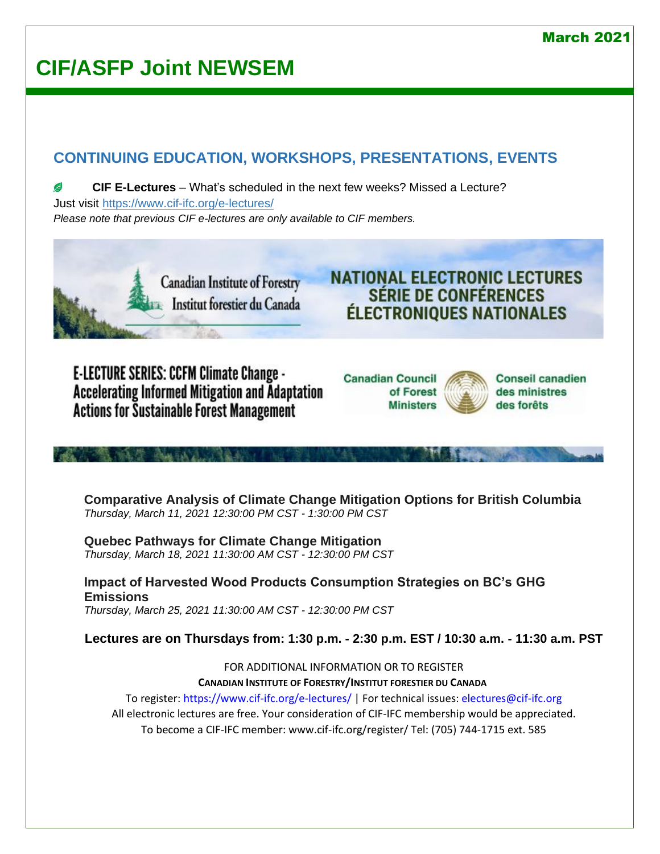### March 2021

# **CIF/ASFP Joint NEWSEM**

## **CONTINUING EDUCATION, WORKSHOPS, PRESENTATIONS, EVENTS**

**CIF E-Lectures** – What's scheduled in the next few weeks? Missed a Lecture? C Just visit<https://www.cif-ifc.org/e-lectures/> *Please note that previous CIF e-lectures are only available to CIF members.*



**E-LECTURE SERIES: CCFM Climate Change -Accelerating Informed Mitigation and Adaptation Actions for Sustainable Forest Management** 

**TONIAL FOR** 





**SÉRIE DE CONFÉRENCES** 

**Comparative Analysis of Climate Change Mitigation Options for British Columbia** *Thursday, March 11, 2021 12:30:00 PM CST - 1:30:00 PM CST*

**Quebec Pathways for Climate Change Mitigation** *Thursday, March 18, 2021 11:30:00 AM CST - 12:30:00 PM CST*

**Impact of Harvested Wood Products Consumption Strategies on BC's GHG Emissions** *Thursday, March 25, 2021 11:30:00 AM CST - 12:30:00 PM CST*

**Lectures are on Thursdays from: 1:30 p.m. - 2:30 p.m. EST / 10:30 a.m. - 11:30 a.m. PST**

FOR ADDITIONAL INFORMATION OR TO REGISTER **CANADIAN INSTITUTE OF FORESTRY/INSTITUT FORESTIER DU CANADA**

To register: https://www.cif-ifc.org/e-lectures/ | For technical issues: electures@cif-ifc.org All electronic lectures are free. Your consideration of CIF-IFC membership would be appreciated. To become a CIF-IFC member: www.cif-ifc.org/register/ Tel: (705) 744-1715 ext. 585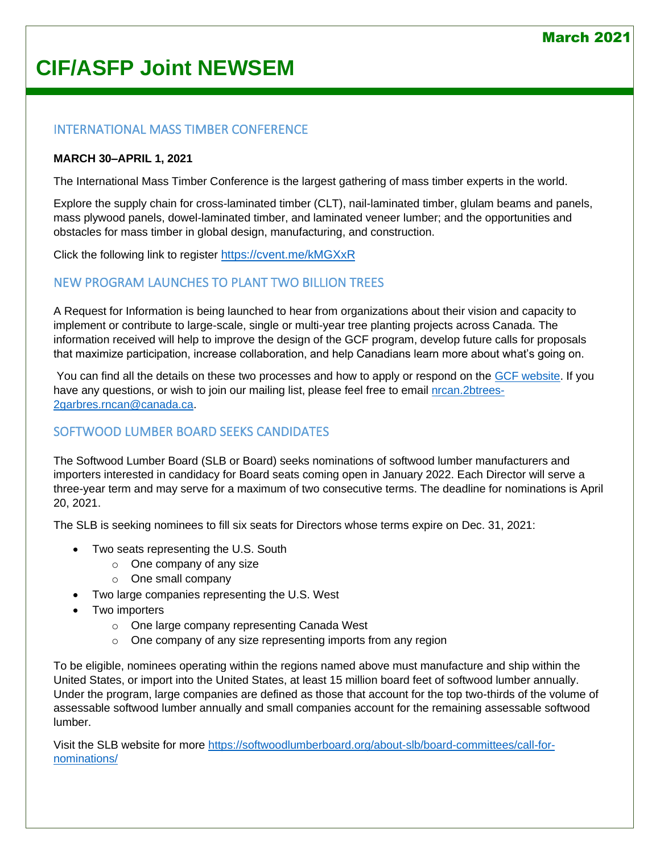### INTERNATIONAL MASS TIMBER CONFERENCE

### **MARCH 30–APRIL 1, 2021**

The International Mass Timber Conference is the largest gathering of mass timber experts in the world.

Explore the supply chain for cross-laminated timber (CLT), nail-laminated timber, glulam beams and panels, mass plywood panels, dowel-laminated timber, and laminated veneer lumber; and the opportunities and obstacles for mass timber in global design, manufacturing, and construction.

Click the following link to register <https://cvent.me/kMGXxR>

### NEW PROGRAM LAUNCHES TO PLANT TWO BILLION TREES

A Request for Information is being launched to hear from organizations about their vision and capacity to implement or contribute to large-scale, single or multi-year tree planting projects across Canada. The information received will help to improve the design of the GCF program, develop future calls for proposals that maximize participation, increase collaboration, and help Canadians learn more about what's going on.

You can find all the details on these two processes and how to apply or respond on the [GCF website.](https://www.nrcan.gc.ca/science-and-data/funding-partnerships/funding-opportunities/forest-sector-funding-programs/growing-canadas-forests-program/23308) If you have any questions, or wish to join our mailing list, please feel free to email [nrcan.2btrees-](mailto:nrcan.2btrees-2garbres.rncan@canada.ca)[2garbres.rncan@canada.ca.](mailto:nrcan.2btrees-2garbres.rncan@canada.ca)

### SOFTWOOD LUMBER BOARD SEEKS CANDIDATES

The Softwood Lumber Board (SLB or Board) seeks nominations of softwood lumber manufacturers and importers interested in candidacy for Board seats coming open in January 2022. Each Director will serve a three-year term and may serve for a maximum of two consecutive terms. The deadline for nominations is April 20, 2021.

The SLB is seeking nominees to fill six seats for Directors whose terms expire on Dec. 31, 2021:

- Two seats representing the U.S. South
	- o One company of any size
	- o One small company
- Two large companies representing the U.S. West
- Two importers
	- o One large company representing Canada West
	- $\circ$  One company of any size representing imports from any region

To be eligible, nominees operating within the regions named above must manufacture and ship within the United States, or import into the United States, at least 15 million board feet of softwood lumber annually. Under the program, large companies are defined as those that account for the top two-thirds of the volume of assessable softwood lumber annually and small companies account for the remaining assessable softwood lumber.

Visit the SLB website for more [https://softwoodlumberboard.org/about-slb/board-committees/call-for](https://softwoodlumberboard.org/about-slb/board-committees/call-for-nominations/)[nominations/](https://softwoodlumberboard.org/about-slb/board-committees/call-for-nominations/)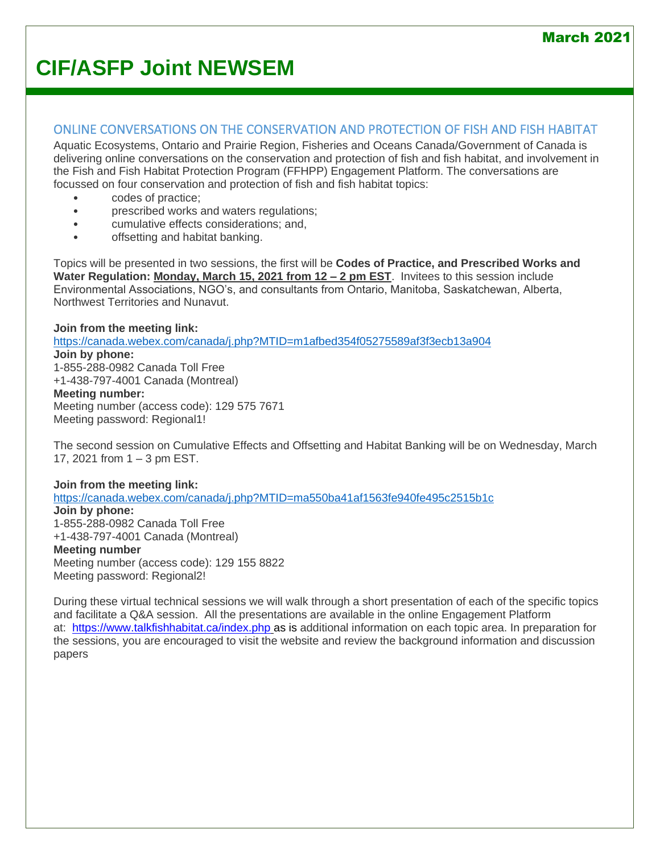### ONLINE CONVERSATIONS ON THE CONSERVATION AND PROTECTION OF FISH AND FISH HABITAT

Aquatic Ecosystems, Ontario and Prairie Region, Fisheries and Oceans Canada/Government of Canada is delivering online conversations on the conservation and protection of fish and fish habitat, and involvement in the Fish and Fish Habitat Protection Program (FFHPP) Engagement Platform. The conversations are focussed on four conservation and protection of fish and fish habitat topics:

- codes of practice;
- prescribed works and waters regulations;
- cumulative effects considerations; and,
- offsetting and habitat banking.

Topics will be presented in two sessions, the first will be **Codes of Practice, and Prescribed Works and Water Regulation: Monday, March 15, 2021 from 12 – 2 pm EST**. Invitees to this session include Environmental Associations, NGO's, and consultants from Ontario, Manitoba, Saskatchewan, Alberta, Northwest Territories and Nunavut.

### **Join from the meeting link:**

<https://canada.webex.com/canada/j.php?MTID=m1afbed354f05275589af3f3ecb13a904>

#### **Join by phone:** 1-855-288-0982 Canada Toll Free +1-438-797-4001 Canada (Montreal)

**Meeting number:**

Meeting number (access code): 129 575 7671

Meeting password: Regional1!

The second session on Cumulative Effects and Offsetting and Habitat Banking will be on Wednesday, March 17, 2021 from 1 – 3 pm EST.

### **Join from the meeting link:**

<https://canada.webex.com/canada/j.php?MTID=ma550ba41af1563fe940fe495c2515b1c> **Join by phone:** 1-855-288-0982 Canada Toll Free +1-438-797-4001 Canada (Montreal)

### **Meeting number**

Meeting number (access code): 129 155 8822 Meeting password: Regional2!

During these virtual technical sessions we will walk through a short presentation of each of the specific topics and facilitate a Q&A session. All the presentations are available in the online Engagement Platform at: <https://www.talkfishhabitat.ca/index.php> as is additional information on each topic area. In preparation for the sessions, you are encouraged to visit the website and review the background information and discussion papers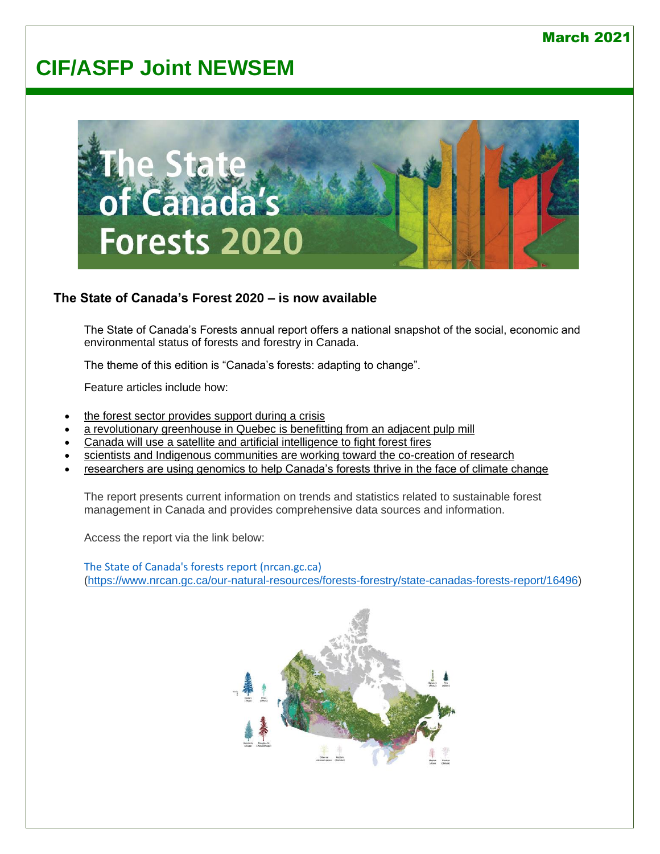

### **The State of Canada's Forest 2020 – is now available**

The State of Canada's Forests annual report offers a national snapshot of the social, economic and environmental status of forests and forestry in Canada.

The theme of this edition is "Canada's forests: adapting to change".

Feature articles include how:

- [the forest sector provides support during a crisis](https://www.nrcan.gc.ca/staple-goods-essentials-how-forest-sector-provides-support-during-crisis/22927)
- [a revolutionary greenhouse in Quebec is benefitting from an adjacent pulp mill](https://www.nrcan.gc.ca/turning-waste-heat-pulp-mill-millions-cucumbers/22937)
- [Canada will use a satellite and artificial intelligence to fight forest fires](https://www.nrcan.gc.ca/monitoring-forest-fires-canada-space/22934)
- [scientists and Indigenous communities are working toward the co-creation of research](https://www.nrcan.gc.ca/when-western-and-indigenous-science-and-knowledge-come-together-collaborative-research-centred/22929)
- [researchers are using genomics to help Canada's forests thrive in the face of climate change](https://www.nrcan.gc.ca/genomics-helps-canadas-forests-adapt-future/22931)

The report presents current information on trends and statistics related to sustainable forest management in Canada and provides comprehensive data sources and information.

Access the report via the link below:

[The State of Canada's forests report \(nrcan.gc.ca\)](https://www.nrcan.gc.ca/our-natural-resources/forests-forestry/state-canadas-forests-report/16496) [\(https://www.nrcan.gc.ca/our-natural-resources/forests-forestry/state-canadas-forests-report/16496\)](https://www.nrcan.gc.ca/our-natural-resources/forests-forestry/state-canadas-forests-report/16496)